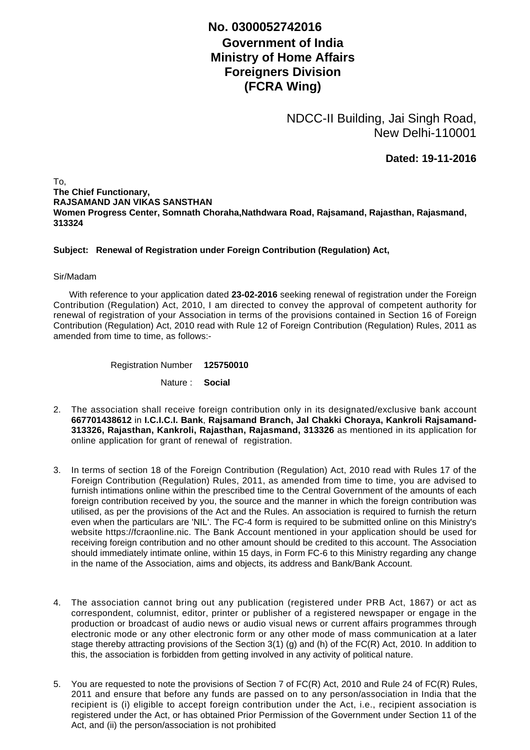## **No. 0300052742016**

## **Government of India Ministry of Home Affairs Foreigners Division (FCRA Wing)**

NDCC-II Building, Jai Singh Road, New Delhi-110001

**Dated: 19-11-2016**

To, **The Chief Functionary, RAJSAMAND JAN VIKAS SANSTHAN Women Progress Center, Somnath Choraha,Nathdwara Road, Rajsamand, Rajasthan, Rajasmand, 313324**

## **Subject: Renewal of Registration under Foreign Contribution (Regulation) Act,**

## Sir/Madam

 With reference to your application dated **23-02-2016** seeking renewal of registration under the Foreign Contribution (Regulation) Act, 2010, I am directed to convey the approval of competent authority for renewal of registration of your Association in terms of the provisions contained in Section 16 of Foreign Contribution (Regulation) Act, 2010 read with Rule 12 of Foreign Contribution (Regulation) Rules, 2011 as amended from time to time, as follows:-

Registration Number **125750010**

Nature : **Social**

- The association shall receive foreign contribution only in its designated/exclusive bank account 2. **667701438612** in **I.C.I.C.I. Bank**, **Rajsamand Branch, Jal Chakki Choraya, Kankroli Rajsamand-313326, Rajasthan, Kankroli, Rajasthan, Rajasmand, 313326** as mentioned in its application for online application for grant of renewal of registration.
- 3. In terms of section 18 of the Foreign Contribution (Regulation) Act, 2010 read with Rules 17 of the Foreign Contribution (Regulation) Rules, 2011, as amended from time to time, you are advised to furnish intimations online within the prescribed time to the Central Government of the amounts of each foreign contribution received by you, the source and the manner in which the foreign contribution was utilised, as per the provisions of the Act and the Rules. An association is required to furnish the return even when the particulars are 'NIL'. The FC-4 form is required to be submitted online on this Ministry's website https://fcraonline.nic. The Bank Account mentioned in your application should be used for receiving foreign contribution and no other amount should be credited to this account. The Association should immediately intimate online, within 15 days, in Form FC-6 to this Ministry regarding any change in the name of the Association, aims and objects, its address and Bank/Bank Account.
- 4. The association cannot bring out any publication (registered under PRB Act, 1867) or act as correspondent, columnist, editor, printer or publisher of a registered newspaper or engage in the production or broadcast of audio news or audio visual news or current affairs programmes through electronic mode or any other electronic form or any other mode of mass communication at a later stage thereby attracting provisions of the Section 3(1) (g) and (h) of the FC(R) Act, 2010. In addition to this, the association is forbidden from getting involved in any activity of political nature.
- 5. You are requested to note the provisions of Section 7 of FC(R) Act, 2010 and Rule 24 of FC(R) Rules, 2011 and ensure that before any funds are passed on to any person/association in India that the recipient is (i) eligible to accept foreign contribution under the Act, i.e., recipient association is registered under the Act, or has obtained Prior Permission of the Government under Section 11 of the Act, and (ii) the person/association is not prohibited